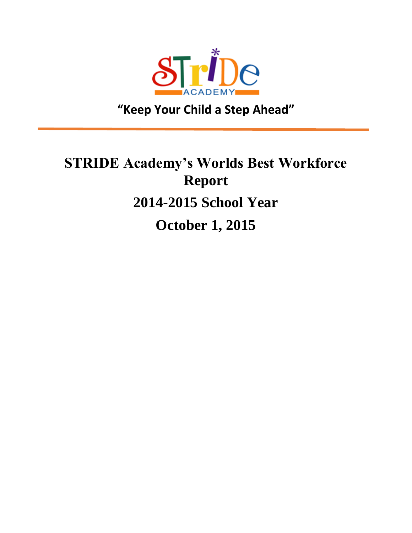

**"Keep Your Child a Step Ahead"**

I

# **STRIDE Academy's Worlds Best Workforce Report 2014-2015 School Year October 1, 2015**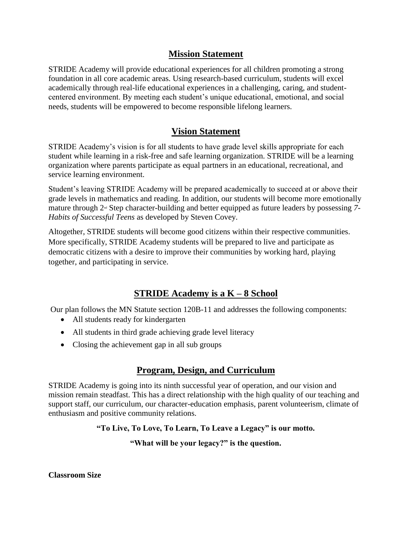# **Mission Statement**

STRIDE Academy will provide educational experiences for all children promoting a strong foundation in all core academic areas. Using research-based curriculum, students will excel academically through real-life educational experiences in a challenging, caring, and studentcentered environment. By meeting each student's unique educational, emotional, and social needs, students will be empowered to become responsible lifelong learners.

# **Vision Statement**

STRIDE Academy's vision is for all students to have grade level skills appropriate for each student while learning in a risk-free and safe learning organization. STRIDE will be a learning organization where parents participate as equal partners in an educational, recreational, and service learning environment.

Student's leaving STRIDE Academy will be prepared academically to succeed at or above their grade levels in mathematics and reading. In addition, our students will become more emotionally mature through 2nd Step character-building and better equipped as future leaders by possessing *7- Habits of Successful Teens* as developed by Steven Covey.

Altogether, STRIDE students will become good citizens within their respective communities. More specifically, STRIDE Academy students will be prepared to live and participate as democratic citizens with a desire to improve their communities by working hard, playing together, and participating in service.

# **STRIDE Academy is a K – 8 School**

Our plan follows the MN Statute section 120B-11 and addresses the following components:

- All students ready for kindergarten
- All students in third grade achieving grade level literacy
- Closing the achievement gap in all sub groups

# **Program, Design, and Curriculum**

STRIDE Academy is going into its ninth successful year of operation, and our vision and mission remain steadfast. This has a direct relationship with the high quality of our teaching and support staff, our curriculum, our character-education emphasis, parent volunteerism, climate of enthusiasm and positive community relations.

# **"To Live, To Love, To Learn, To Leave a Legacy" is our motto.**

# **"What will be your legacy?" is the question.**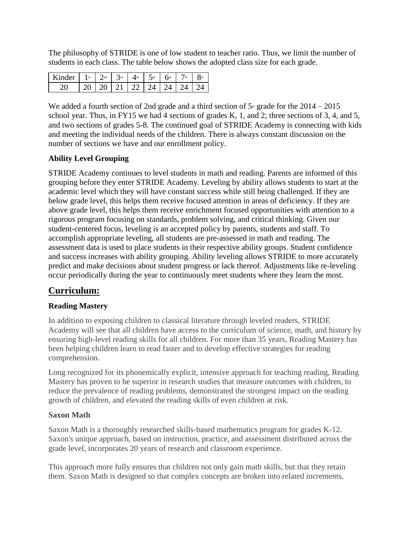The philosophy of STRIDE is one of low student to teacher ratio. Thus, we limit the number of students in each class. The table below shows the adopted class size for each grade.

| $\mathsf{Kinder}$ | 1 st $\int$ $2^{nd}$ | $\mathcal{R}_{\text{rd}}$ | $\Lambda$ th         | $\mathcal{L}_{\text{th}}$ | h <sup>th</sup> | 1 th | $\mathsf{X}^\text{th}$ |
|-------------------|----------------------|---------------------------|----------------------|---------------------------|-----------------|------|------------------------|
|                   |                      |                           | $-20 + 21 + 22 + 24$ |                           |                 |      |                        |

We added a fourth section of 2nd grade and a third section of  $5<sup>th</sup>$  grade for the  $2014 - 2015$ school year. Thus, in FY15 we had 4 sections of grades K, 1, and 2; three sections of 3, 4, and 5, and two sections of grades 5-8. The continued goal of STRIDE Academy is connecting with kids and meeting the individual needs of the children. There is always constant discussion on the number of sections we have and our enrollment policy.

## **Ability Level Grouping**

STRIDE Academy continues to level students in math and reading. Parents are informed of this grouping before they enter STRIDE Academy. Leveling by ability allows students to start at the academic level which they will have constant success while still being challenged. If they are below grade level, this helps them receive focused attention in areas of deficiency. If they are above grade level, this helps them receive enrichment focused opportunities with attention to a rigorous program focusing on standards, problem solving, and critical thinking. Given our student-centered focus, leveling is an accepted policy by parents, students and staff. To accomplish appropriate leveling, all students are pre-assessed in math and reading. The assessment data is used to place students in their respective ability groups. Student confidence and success increases with ability grouping. Ability leveling allows STRIDE to more accurately predict and make decisions about student progress or lack thereof. Adjustments like re-leveling occur periodically during the year to continuously meet students where they learn the most.

# **Curriculum:**

## **Reading Mastery**

In addition to exposing children to classical literature through leveled readers, STRIDE Academy will see that all children have access to the curriculum of science, math, and history by ensuring high-level reading skills for all children. For more than 35 years, Reading Mastery has been helping children learn to read faster and to develop effective strategies for reading comprehension.

Long recognized for its phonemically explicit, intensive approach for teaching reading, Reading Mastery has proven to be superior in research studies that measure outcomes with children, to reduce the prevalence of reading problems, demonstrated the strongest impact on the reading growth of children, and elevated the reading skills of even children at risk.

## **Saxon Math**

Saxon Math is a thoroughly researched skills-based mathematics program for grades K-12. Saxon's unique approach, based on instruction, practice, and assessment distributed across the grade level, incorporates 20 years of research and classroom experience.

This approach more fully ensures that children not only gain math skills, but that they retain them. Saxon Math is designed so that complex concepts are broken into related increments,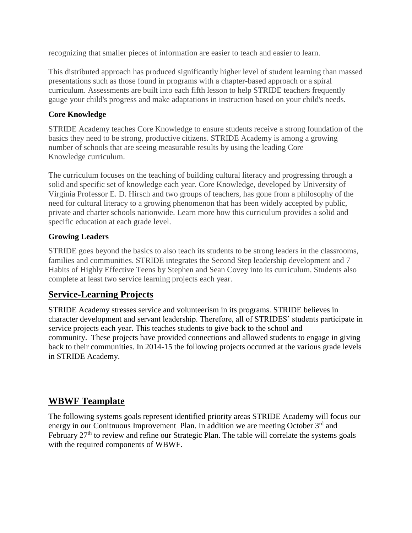recognizing that smaller pieces of information are easier to teach and easier to learn.

This distributed approach has produced significantly higher level of student learning than massed presentations such as those found in programs with a chapter-based approach or a spiral curriculum. Assessments are built into each fifth lesson to help STRIDE teachers frequently gauge your child's progress and make adaptations in instruction based on your child's needs.

## **Core Knowledge**

STRIDE Academy teaches Core Knowledge to ensure students receive a strong foundation of the basics they need to be strong, productive citizens. STRIDE Academy is among a growing number of schools that are seeing measurable results by using the leading Core Knowledge curriculum.

The curriculum focuses on the teaching of building cultural literacy and progressing through a solid and specific set of knowledge each year. Core Knowledge, developed by University of Virginia Professor E. D. Hirsch and two groups of teachers, has gone from a philosophy of the need for cultural literacy to a growing phenomenon that has been widely accepted by public, private and charter schools nationwide. Learn more how this curriculum provides a solid and specific education at each grade level.

# **Growing Leaders**

STRIDE goes beyond the basics to also teach its students to be strong leaders in the classrooms, families and communities. STRIDE integrates the Second Step leadership development and 7 Habits of Highly Effective Teens by Stephen and Sean Covey into its curriculum. Students also complete at least two service learning projects each year.

# **Service-Learning Projects**

STRIDE Academy stresses service and volunteerism in its programs. STRIDE believes in character development and servant leadership. Therefore, all of STRIDES' students participate in service projects each year. This teaches students to give back to the school and community. These projects have provided connections and allowed students to engage in giving back to their communities. In 2014-15 the following projects occurred at the various grade levels in STRIDE Academy.

# **WBWF Teamplate**

The following systems goals represent identified priority areas STRIDE Academy will focus our energy in our Conitnuous Improvement Plan. In addition we are meeting October 3<sup>rd</sup> and February  $27<sup>th</sup>$  to review and refine our Strategic Plan. The table will correlate the systems goals with the required components of WBWF.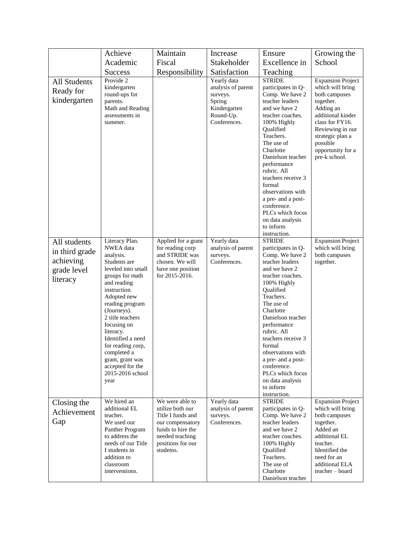|                     | Achieve                             | Maintain                              | Increase                 | Ensure                                  | Growing the                          |
|---------------------|-------------------------------------|---------------------------------------|--------------------------|-----------------------------------------|--------------------------------------|
|                     | Academic                            | Fiscal                                | Stakeholder              | Excellence in                           | School                               |
|                     | <b>Success</b>                      | Responsibility                        | Satisfaction             | Teaching                                |                                      |
| <b>All Students</b> | Provide 2                           |                                       | Yearly data              | <b>STRIDE</b>                           | <b>Expansion Project</b>             |
| Ready for           | kindergarten                        |                                       | analysis of parent       | participates in Q-                      | which will bring                     |
| kindergarten        | round-ups for<br>parents.           |                                       | surveys.<br>Spring       | Comp. We have 2<br>teacher leaders      | both campuses<br>together.           |
|                     | Math and Reading                    |                                       | Kindergarten             | and we have 2                           | Adding an                            |
|                     | assessments in                      |                                       | Round-Up.                | teacher coaches.                        | additional kinder                    |
|                     | summer.                             |                                       | Conferences.             | 100% Highly                             | class for FY16.                      |
|                     |                                     |                                       |                          | Qualified<br>Teachers.                  | Reviewing in our<br>strategic plan a |
|                     |                                     |                                       |                          | The use of                              | possible                             |
|                     |                                     |                                       |                          | Charlotte                               | opportunity for a                    |
|                     |                                     |                                       |                          | Danielson teacher                       | pre-k school.                        |
|                     |                                     |                                       |                          | performance<br>rubric. All              |                                      |
|                     |                                     |                                       |                          | teachers receive 3                      |                                      |
|                     |                                     |                                       |                          | formal                                  |                                      |
|                     |                                     |                                       |                          | observations with<br>a pre- and a post- |                                      |
|                     |                                     |                                       |                          | conference.                             |                                      |
|                     |                                     |                                       |                          | PLCs which focus                        |                                      |
|                     |                                     |                                       |                          | on data analysis                        |                                      |
|                     |                                     |                                       |                          | to inform<br>instruction.               |                                      |
| All students        | Literacy Plan.                      | Applied for a grant                   | Yearly data              | <b>STRIDE</b>                           | <b>Expansion Project</b>             |
| in third grade      | NWEA data                           | for reading corp                      | analysis of parent       | participates in Q-                      | which will bring                     |
| achieving           | analysis.<br>Students are           | and STRIDE was<br>chosen. We will     | surveys.<br>Conferences. | Comp. We have 2<br>teacher leaders      | both campuses<br>together.           |
| grade level         | leveled into small                  | have one position                     |                          | and we have 2                           |                                      |
| literacy            | groups for math                     | for 2015-2016.                        |                          | teacher coaches.                        |                                      |
|                     | and reading<br>instruction.         |                                       |                          | 100% Highly<br>Qualified                |                                      |
|                     | Adopted new                         |                                       |                          | Teachers.                               |                                      |
|                     | reading program                     |                                       |                          | The use of                              |                                      |
|                     | (Journeys).                         |                                       |                          | Charlotte                               |                                      |
|                     | 2 title teachers<br>focusing on     |                                       |                          | Danielson teacher<br>performance        |                                      |
|                     | literacy.                           |                                       |                          | rubric. All                             |                                      |
|                     | Identified a need                   |                                       |                          | teachers receive 3                      |                                      |
|                     | for reading corp,<br>completed a    |                                       |                          | formal<br>observations with             |                                      |
|                     | grant, grant was                    |                                       |                          | a pre- and a post-                      |                                      |
|                     | accepted for the                    |                                       |                          | conference.                             |                                      |
|                     | 2015-2016 school                    |                                       |                          | PLCs which focus                        |                                      |
|                     | year                                |                                       |                          | on data analysis<br>to inform           |                                      |
|                     |                                     |                                       |                          | instruction.                            |                                      |
| Closing the         | We hired an                         | We were able to                       | Yearly data              | <b>STRIDE</b>                           | <b>Expansion Project</b>             |
| Achievement         | additional EL<br>teacher.           | utilize both our<br>Title I funds and | analysis of parent       | participates in Q-                      | which will bring                     |
| Gap                 | We used our                         | our compensatory                      | surveys.<br>Conferences. | Comp. We have 2<br>teacher leaders      | both campuses<br>together.           |
|                     | Panther Program                     | funds to hire the                     |                          | and we have 2                           | Added an                             |
|                     | to address the                      | needed teaching                       |                          | teacher coaches.                        | additional EL                        |
|                     | needs of our Title<br>I students in | positions for our<br>studetns.        |                          | 100% Highly<br>Qualified                | teacher.<br>Identified the           |
|                     | addition to                         |                                       |                          | Teachers.                               | need for an                          |
|                     | classroom                           |                                       |                          | The use of                              | additional ELA                       |
|                     | interventions.                      |                                       |                          | Charlotte                               | teacher - board                      |
|                     |                                     |                                       |                          | Danielson teacher                       |                                      |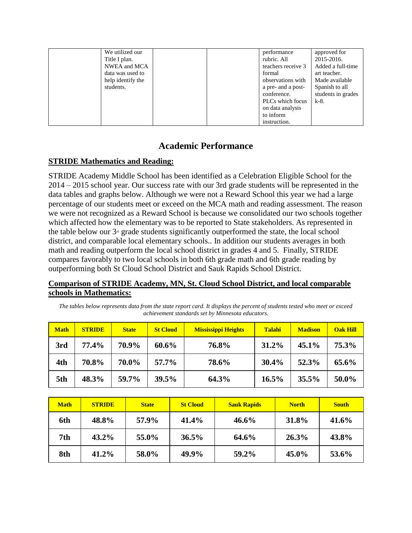| We utilized our   |  | performance        | approved for       |
|-------------------|--|--------------------|--------------------|
| Title I plan.     |  | rubric. All        | 2015-2016.         |
| NWEA and MCA      |  | teachers receive 3 | Added a full-time  |
| data was used to  |  | formal             | art teacher.       |
| help identify the |  | observations with  | Made available     |
| students.         |  | a pre- and a post- | Spanish to all     |
|                   |  | conference.        | students in grades |
|                   |  | PLCs which focus   | $k-8$ .            |
|                   |  | on data analysis   |                    |
|                   |  | to inform          |                    |
|                   |  | instruction.       |                    |

# **Academic Performance**

## **STRIDE Mathematics and Reading:**

STRIDE Academy Middle School has been identified as a Celebration Eligible School for the 2014 – 2015 school year. Our success rate with our 3rd grade students will be represented in the data tables and graphs below. Although we were not a Reward School this year we had a large percentage of our students meet or exceed on the MCA math and reading assessment. The reason we were not recognized as a Reward School is because we consolidated our two schools together which affected how the elementary was to be reported to State stakeholders. As represented in the table below our  $3<sup>d</sup>$  grade students significantly outperformed the state, the local school district, and comparable local elementary schools.. In addition our students averages in both math and reading outperform the local school district in grades 4 and 5. Finally, STRIDE compares favorably to two local schools in both 6th grade math and 6th grade reading by outperforming both St Cloud School District and Sauk Rapids School District.

## **Comparison of STRIDE Academy, MN, St. Cloud School District, and local comparable schools in Mathematics:**

*The tables below represents data from the state report card. It displays the percent of students tested who meet or exceed achievement standards set by Minnesota educators.*

| <b>Math</b> | <b>STRIDE</b> | <b>State</b> | <b>St Cloud</b> | <b>Mississippi Heights</b> | Talahi | <b>Madison</b> | <b>Oak Hill</b> |
|-------------|---------------|--------------|-----------------|----------------------------|--------|----------------|-----------------|
| 3rd         | 77.4%         | 70.9%        | $60.6\%$        | 76.8%                      | 31.2%  | $45.1\%$       | 75.3%           |
| 4th         | 70.8%         | 70.0%        | 57.7%           | 78.6%                      | 30.4%  | 52.3%          | 65.6%           |
| 5th         | 48.3%         | 59.7%        | 39.5%           | 64.3%                      | 16.5%  | 35.5%          | 50.0%           |

| <b>Math</b> | <b>STRIDE</b> | <b>State</b> | <b>St Cloud</b> | <b>Sauk Rapids</b> | <b>North</b> | <b>South</b> |
|-------------|---------------|--------------|-----------------|--------------------|--------------|--------------|
| 6th         | 48.8%         | 57.9%        | 41.4%           | $46.6\%$           | 31.8%        | 41.6%        |
| 7th         | $43.2\%$      | 55.0%        | 36.5%           | 64.6%              | 26.3%        | 43.8%        |
| 8th         | 41.2%         | 58.0%        | 49.9%           | 59.2%              | 45.0%        | 53.6%        |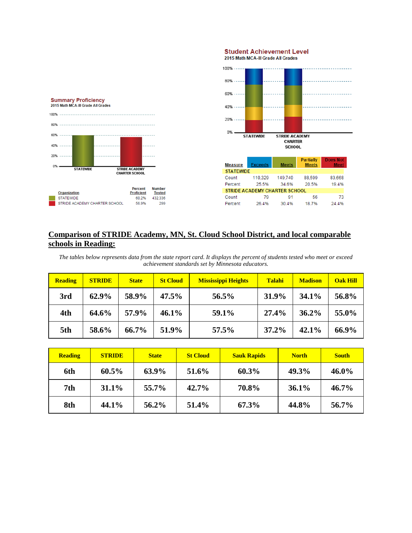



## **Comparison of STRIDE Academy, MN, St. Cloud School District, and local comparable schools in Reading:**

*The tables below represents data from the state report card. It displays the percent of students tested who meet or exceed achievement standards set by Minnesota educators.*

| <b>Reading</b> | <b>STRIDE</b> | <b>State</b> | <b>St Cloud</b> | <b>Mississippi Heights</b> | Talahi | <b>Madison</b> | <b>Oak Hill</b> |
|----------------|---------------|--------------|-----------------|----------------------------|--------|----------------|-----------------|
| 3rd            | 62.9%         | 58.9%        | 47.5%           | 56.5%                      | 31.9%  | 34.1%          | 56.8%           |
| 4th            | 64.6%         | 57.9%        | $46.1\%$        | 59.1%                      | 27.4%  | 36.2%          | 55.0%           |
| 5th            | 58.6%         | 66.7%        | 51.9%           | 57.5%                      | 37.2%  | 42.1%          | 66.9%           |

| <b>Reading</b>  | <b>STRIDE</b> | <b>State</b> | <b>St Cloud</b> | <b>Sauk Rapids</b> | <b>North</b> | <b>South</b> |
|-----------------|---------------|--------------|-----------------|--------------------|--------------|--------------|
| 6th             | $60.5\%$      | 63.9%        | 51.6%           | 60.3%              | 49.3%        | $46.0\%$     |
| 7 <sub>th</sub> | 31.1%         | 55.7%        | 42.7%           | 70.8%              | 36.1%        | $46.7\%$     |
| 8th             | 44.1%         | 56.2%        | 51.4%           | 67.3%              | 44.8%        | 56.7%        |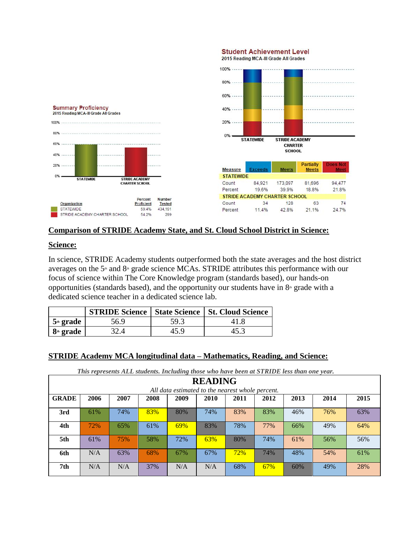

#### **Comparison of STRIDE Academy State, and St. Cloud School District in Science:**

#### **Science:**

In science, STRIDE Academy students outperformed both the state averages and the host district averages on the  $5<sup>th</sup>$  and  $8<sup>th</sup>$  grade science MCAs. STRIDE attributes this performance with our focus of science within The Core Knowledge program (standards based), our hands-on opportunities (standards based), and the opportunity our students have in  $8<sup>th</sup>$  grade with a dedicated science teacher in a dedicated science lab.

|                       |      |      | <b>STRIDE Science   State Science   St. Cloud Science</b> |
|-----------------------|------|------|-----------------------------------------------------------|
| 5 <sup>th</sup> grade | 56.9 | 59.3 |                                                           |
| $8th$ grade           |      | 45.9 | 45.3                                                      |

#### **STRIDE Academy MCA longitudinal data – Mathematics, Reading, and Science:**

*This represents ALL students. Including those who have been at STRIDE less than one year.*

|              | <b>READING</b>                                                               |     |     |     |     |     |     |     |     |     |  |
|--------------|------------------------------------------------------------------------------|-----|-----|-----|-----|-----|-----|-----|-----|-----|--|
|              | All data estimated to the nearest whole percent.                             |     |     |     |     |     |     |     |     |     |  |
| <b>GRADE</b> | 2010<br>2006<br>2007<br>2008<br>2009<br>2011<br>2012<br>2013<br>2014<br>2015 |     |     |     |     |     |     |     |     |     |  |
| 3rd          | 61%                                                                          | 74% | 83% | 80% | 74% | 83% | 83% | 46% | 76% | 63% |  |
| 4th          | 72%                                                                          | 65% | 61% | 69% | 83% | 78% | 77% | 66% | 49% | 64% |  |
| 5th          | 61%                                                                          | 75% | 58% | 72% | 63% | 80% | 74% | 61% | 56% | 56% |  |
| 6th          | N/A                                                                          | 63% | 68% | 67% | 67% | 72% | 74% | 48% | 54% | 61% |  |
| 7th          | N/A                                                                          | N/A | 37% | N/A | N/A | 68% | 67% | 60% | 49% | 28% |  |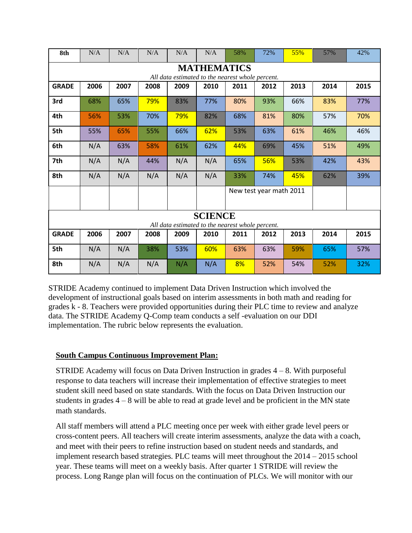| 8th                                                                                                                                              | N/A  | N/A  | N/A  | N/A  | N/A                                              | 58%  | 72%                     | 55%  | 57%  | 42%  |  |
|--------------------------------------------------------------------------------------------------------------------------------------------------|------|------|------|------|--------------------------------------------------|------|-------------------------|------|------|------|--|
| <b>MATHEMATICS</b>                                                                                                                               |      |      |      |      |                                                  |      |                         |      |      |      |  |
| All data estimated to the nearest whole percent.<br>2006<br><b>GRADE</b><br>2007<br>2008<br>2010<br>2011<br>2012<br>2013<br>2014<br>2015<br>2009 |      |      |      |      |                                                  |      |                         |      |      |      |  |
|                                                                                                                                                  |      |      |      |      |                                                  |      |                         |      |      |      |  |
| 3rd                                                                                                                                              | 68%  | 65%  | 79%  | 83%  | 77%                                              | 80%  | 93%                     | 66%  | 83%  | 77%  |  |
| 4th                                                                                                                                              | 56%  | 53%  | 70%  | 79%  | 82%                                              | 68%  | 81%                     | 80%  | 57%  | 70%  |  |
| 5th                                                                                                                                              | 55%  | 65%  | 55%  | 66%  | 62%                                              | 53%  | 63%                     | 61%  | 46%  | 46%  |  |
| 6th                                                                                                                                              | N/A  | 63%  | 58%  | 61%  | 62%                                              | 44%  | 69%                     | 45%  | 51%  | 49%  |  |
| 7th                                                                                                                                              | N/A  | N/A  | 44%  | N/A  | N/A                                              | 65%  | 56%                     | 53%  | 42%  | 43%  |  |
| 8th                                                                                                                                              | N/A  | N/A  | N/A  | N/A  | N/A                                              | 33%  | 74%                     | 45%  | 62%  | 39%  |  |
|                                                                                                                                                  |      |      |      |      |                                                  |      | New test year math 2011 |      |      |      |  |
|                                                                                                                                                  |      |      |      |      |                                                  |      |                         |      |      |      |  |
|                                                                                                                                                  |      |      |      |      | <b>SCIENCE</b>                                   |      |                         |      |      |      |  |
|                                                                                                                                                  |      |      |      |      | All data estimated to the nearest whole percent. |      |                         |      |      |      |  |
| <b>GRADE</b>                                                                                                                                     | 2006 | 2007 | 2008 | 2009 | 2010                                             | 2011 | 2012                    | 2013 | 2014 | 2015 |  |
| 5th                                                                                                                                              | N/A  | N/A  | 38%  | 53%  | 60%                                              | 63%  | 63%                     | 59%  | 65%  | 57%  |  |
| 8th                                                                                                                                              | N/A  | N/A  | N/A  | N/A  | N/A                                              | 8%   | 52%                     | 54%  | 52%  | 32%  |  |

STRIDE Academy continued to implement Data Driven Instruction which involved the development of instructional goals based on interim assessments in both math and reading for grades k - 8. Teachers were provided opportunities during their PLC time to review and analyze data. The STRIDE Academy Q-Comp team conducts a self -evaluation on our DDI implementation. The rubric below represents the evaluation.

## **South Campus Continuous Improvement Plan:**

STRIDE Academy will focus on Data Driven Instruction in grades  $4 - 8$ . With purposeful response to data teachers will increase their implementation of effective strategies to meet student skill need based on state standards. With the focus on Data Driven Instruction our students in grades  $4 - 8$  will be able to read at grade level and be proficient in the MN state math standards.

All staff members will attend a PLC meeting once per week with either grade level peers or cross-content peers. All teachers will create interim assessments, analyze the data with a coach, and meet with their peers to refine instruction based on student needs and standards, and implement research based strategies. PLC teams will meet throughout the 2014 – 2015 school year. These teams will meet on a weekly basis. After quarter 1 STRIDE will review the process. Long Range plan will focus on the continuation of PLCs. We will monitor with our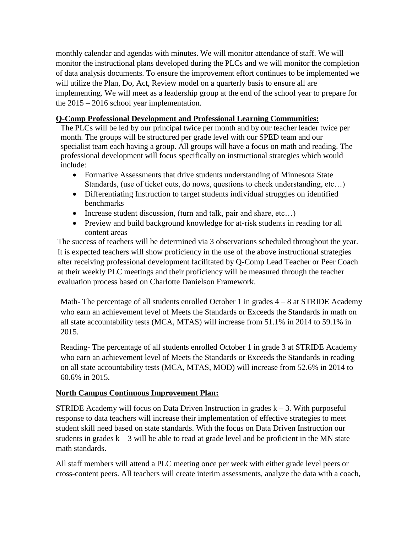monthly calendar and agendas with minutes. We will monitor attendance of staff. We will monitor the instructional plans developed during the PLCs and we will monitor the completion of data analysis documents. To ensure the improvement effort continues to be implemented we will utilize the Plan, Do, Act, Review model on a quarterly basis to ensure all are implementing. We will meet as a leadership group at the end of the school year to prepare for the 2015 – 2016 school year implementation.

## **Q-Comp Professional Development and Professional Learning Communities:**

The PLCs will be led by our principal twice per month and by our teacher leader twice per month. The groups will be structured per grade level with our SPED team and our specialist team each having a group. All groups will have a focus on math and reading. The professional development will focus specifically on instructional strategies which would include:

- Formative Assessments that drive students understanding of Minnesota State Standards, (use of ticket outs, do nows, questions to check understanding, etc…)
- Differentiating Instruction to target students individual struggles on identified benchmarks
- Increase student discussion, (turn and talk, pair and share, etc...)
- Preview and build background knowledge for at-risk students in reading for all content areas

The success of teachers will be determined via 3 observations scheduled throughout the year. It is expected teachers will show proficiency in the use of the above instructional strategies after receiving professional development facilitated by Q-Comp Lead Teacher or Peer Coach at their weekly PLC meetings and their proficiency will be measured through the teacher evaluation process based on Charlotte Danielson Framework.

Math- The percentage of all students enrolled October 1 in grades  $4 - 8$  at STRIDE Academy who earn an achievement level of Meets the Standards or Exceeds the Standards in math on all state accountability tests (MCA, MTAS) will increase from 51.1% in 2014 to 59.1% in 2015.

Reading- The percentage of all students enrolled October 1 in grade 3 at STRIDE Academy who earn an achievement level of Meets the Standards or Exceeds the Standards in reading on all state accountability tests (MCA, MTAS, MOD) will increase from 52.6% in 2014 to 60.6% in 2015.

# **North Campus Continuous Improvement Plan:**

STRIDE Academy will focus on Data Driven Instruction in grades  $k - 3$ . With purposeful response to data teachers will increase their implementation of effective strategies to meet student skill need based on state standards. With the focus on Data Driven Instruction our students in grades  $k - 3$  will be able to read at grade level and be proficient in the MN state math standards.

All staff members will attend a PLC meeting once per week with either grade level peers or cross-content peers. All teachers will create interim assessments, analyze the data with a coach,